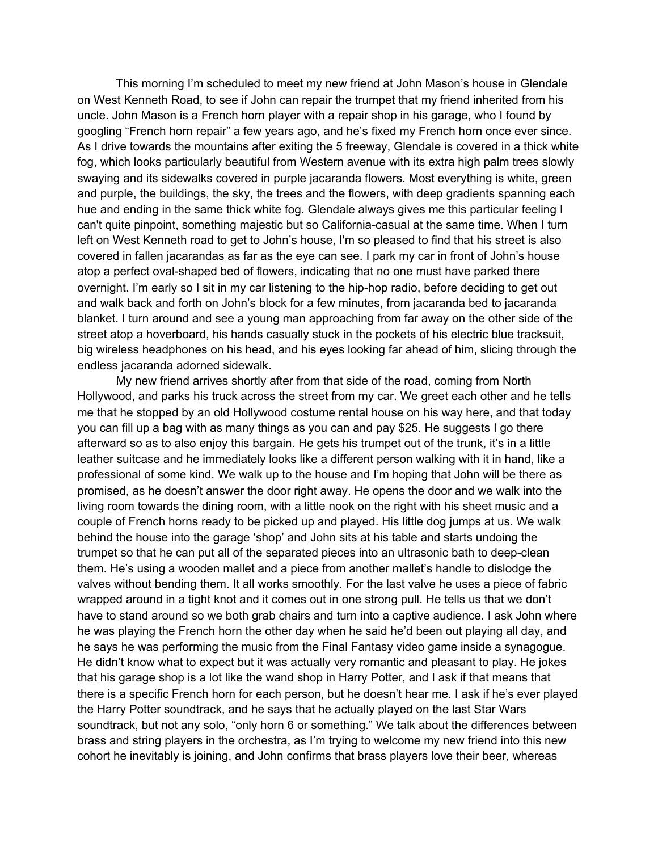This morning I'm scheduled to meet my new friend at John Mason's house in Glendale on West Kenneth Road, to see if John can repair the trumpet that my friend inherited from his uncle. John Mason is a French horn player with a repair shop in his garage, who I found by googling "French horn repair" a few years ago, and he's fixed my French horn once ever since. As I drive towards the mountains after exiting the 5 freeway, Glendale is covered in a thick white fog, which looks particularly beautiful from Western avenue with its extra high palm trees slowly swaying and its sidewalks covered in purple jacaranda flowers. Most everything is white, green and purple, the buildings, the sky, the trees and the flowers, with deep gradients spanning each hue and ending in the same thick white fog. Glendale always gives me this particular feeling I can't quite pinpoint, something majestic but so California-casual at the same time. When I turn left on West Kenneth road to get to John's house, I'm so pleased to find that his street is also covered in fallen jacarandas as far as the eye can see. I park my car in front of John's house atop a perfect oval-shaped bed of flowers, indicating that no one must have parked there overnight. I'm early so I sit in my car listening to the hip-hop radio, before deciding to get out and walk back and forth on John's block for a few minutes, from jacaranda bed to jacaranda blanket. I turn around and see a young man approaching from far away on the other side of the street atop a hoverboard, his hands casually stuck in the pockets of his electric blue tracksuit, big wireless headphones on his head, and his eyes looking far ahead of him, slicing through the endless jacaranda adorned sidewalk.

My new friend arrives shortly after from that side of the road, coming from North Hollywood, and parks his truck across the street from my car. We greet each other and he tells me that he stopped by an old Hollywood costume rental house on his way here, and that today you can fill up a bag with as many things as you can and pay \$25. He suggests I go there afterward so as to also enjoy this bargain. He gets his trumpet out of the trunk, it's in a little leather suitcase and he immediately looks like a different person walking with it in hand, like a professional of some kind. We walk up to the house and I'm hoping that John will be there as promised, as he doesn't answer the door right away. He opens the door and we walk into the living room towards the dining room, with a little nook on the right with his sheet music and a couple of French horns ready to be picked up and played. His little dog jumps at us. We walk behind the house into the garage 'shop' and John sits at his table and starts undoing the trumpet so that he can put all of the separated pieces into an ultrasonic bath to deep-clean them. He's using a wooden mallet and a piece from another mallet's handle to dislodge the valves without bending them. It all works smoothly. For the last valve he uses a piece of fabric wrapped around in a tight knot and it comes out in one strong pull. He tells us that we don't have to stand around so we both grab chairs and turn into a captive audience. I ask John where he was playing the French horn the other day when he said he'd been out playing all day, and he says he was performing the music from the Final Fantasy video game inside a synagogue. He didn't know what to expect but it was actually very romantic and pleasant to play. He jokes that his garage shop is a lot like the wand shop in Harry Potter, and I ask if that means that there is a specific French horn for each person, but he doesn't hear me. I ask if he's ever played the Harry Potter soundtrack, and he says that he actually played on the last Star Wars soundtrack, but not any solo, "only horn 6 or something." We talk about the differences between brass and string players in the orchestra, as I'm trying to welcome my new friend into this new cohort he inevitably is joining, and John confirms that brass players love their beer, whereas